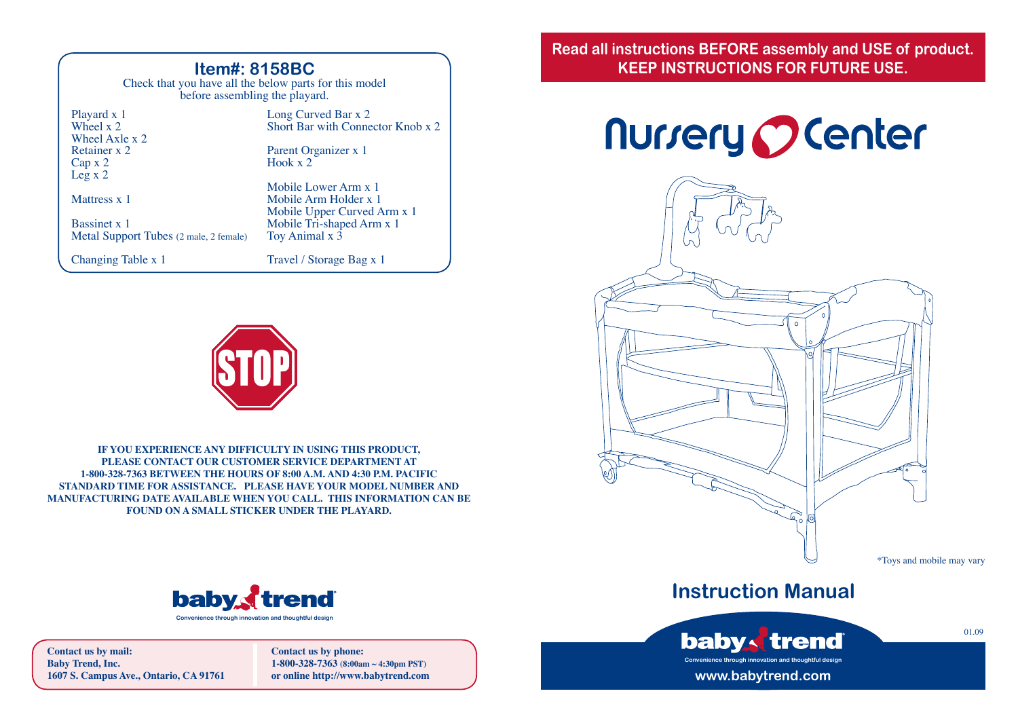### **Item#: 8158BC**

Check that you have all the below parts for this model before assembling the playard.

| Playard x 1<br>Wheel $x$ 2                             | Long Curved Bar x 2<br>Short Bar with Connector Knob x 2                   |
|--------------------------------------------------------|----------------------------------------------------------------------------|
| Wheel Axle x 2<br>Retainer x 2                         | Parent Organizer x 1                                                       |
| Cap x 2<br>Leg x 2                                     | Hook $x2$                                                                  |
| Mattress x 1                                           | Mobile Lower Arm x 1<br>Mobile Arm Holder x 1                              |
| Bassinet x 1<br>Metal Support Tubes (2 male, 2 female) | Mobile Upper Curved Arm x 1<br>Mobile Tri-shaped Arm x 1<br>Toy Animal x 3 |
| Changing Table x 1                                     | Travel / Storage Bag x 1                                                   |



**IF YOU EXPERIENCE ANY DIFFICULTY IN USING THIS PRODUCT, PLEASE CONTACT OUR CUSTOMER SERVICE DEPARTMENT AT 1-800-328-7363 BETWEEN THE HOURS OF 8:00 A.M. AND 4:30 P.M. PACIFIC STANDARD TIME FOR ASSISTANCE. PLEASE HAVE YOUR MODEL NUMBER AND MANUFACTURING DATE AVAILABLE WHEN YOU CALL. THIS INFORMATION CAN BE FOUND ON A SMALL STICKER UNDER THE PLAYARD.**



**Contact us by mail: Baby Trend, Inc. 1607 S. Campus Ave., Ontario, CA 91761** **Contact us by phone: 1-800-328-7363 (8:00am ~ 4:30pm PST) or online http://www.babytrend.com** **Read all instructions BEFORE assembly and USE of product. KEEP INSTRUCTIONS FOR FUTURE USE.**

# **Nurrery Ocenter**



# **Instruction Manual**



01.09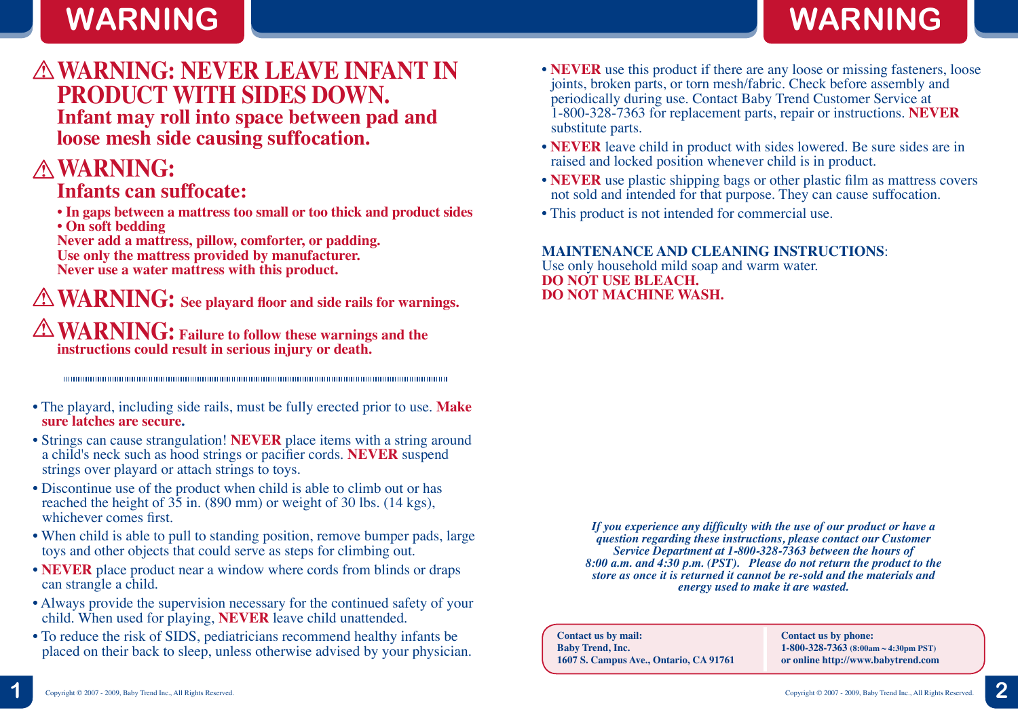# **WARNING WARNING**

# **WARNING: NEVER LEAVE INFANT IN PRODUCT WITH SIDES DOWN.**

**Infant may roll into space between pad and loose mesh side causing suffocation.**

# **WARNING:**

## **Infants can suffocate:**

- **In gaps between a mattress too small or too thick and product sides**
- **On soft bedding**

**Never add a mattress, pillow, comforter, or padding. Use only the mattress provided by manufacturer. Never use a water mattress with this product.**

**WARNING: See playard floor and side rails for warnings. WARNING: Failure to follow these warnings and the instructions could result in serious injury or death.**

- The playard, including side rails, must be fully erected prior to use. **Make sure latches are secure.**
- Strings can cause strangulation! **NEVER** place items with a string around a child's neck such as hood strings or pacifier cords. **NEVER** suspend strings over playard or attach strings to toys.
- Discontinue use of the product when child is able to climb out or has reached the height of 35 in. (890 mm) or weight of 30 lbs. (14 kgs), whichever comes first.
- When child is able to pull to standing position, remove bumper pads, large toys and other objects that could serve as steps for climbing out.
- **NEVER** place product near a window where cords from blinds or draps can strangle a child.
- Always provide the supervision necessary for the continued safety of your child. When used for playing, **NEVER** leave child unattended.
- To reduce the risk of SIDS, pediatricians recommend healthy infants be placed on their back to sleep, unless otherwise advised by your physician.
- **NEVER** use this product if there are any loose or missing fasteners, loose joints, broken parts, or torn mesh/fabric. Check before assembly and periodically during use. Contact Baby Trend Customer Service at 1-800-328-7363 for replacement parts, repair or instructions. **NEVER** substitute parts.
- **NEVER** leave child in product with sides lowered. Be sure sides are in raised and locked position whenever child is in product.
- **NEVER** use plastic shipping bags or other plastic film as mattress covers not sold and intended for that purpose. They can cause suffocation.
- This product is not intended for commercial use.

### **MAINTENANCE AND CLEANING INSTRUCTIONS**:

Use only household mild soap and warm water. **DO NOT USE BLEACH. DO NOT MACHINE WASH.**

> *If you experience any difficulty with the use of our product or have a question regarding these instructions, please contact our Customer Service Department at 1-800-328-7363 between the hours of 8:00 a.m. and 4:30 p.m. (PST). Please do not return the product to the store as once it is returned it cannot be re-sold and the materials and energy used to make it are wasted.*

**Contact us by mail: Baby Trend, Inc. 1607 S. Campus Ave., Ontario, CA 91761** **Contact us by phone: 1-800-328-7363 (8:00am ~ 4:30pm PST) or online http://www.babytrend.com**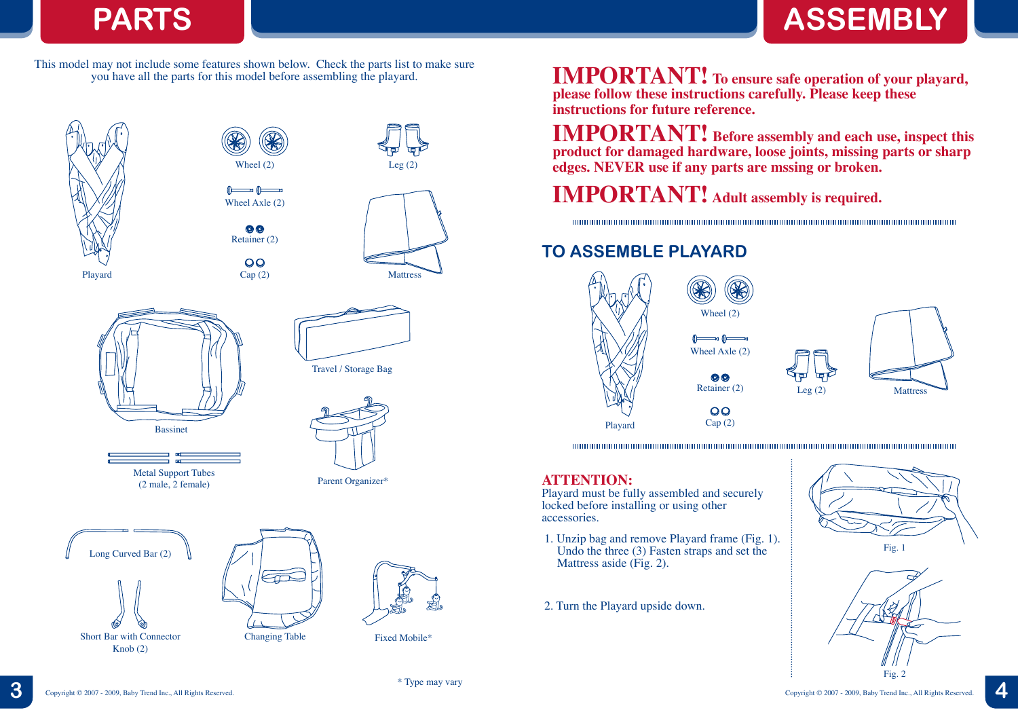# **PARTS ASSEMBLY**

This model may not include some features shown below. Check the parts list to make sure you have all the parts for this model before assembling the playard.

 $\circledcirc$ 

 $\overline{O}O$ 







Metal Support Tubes (2 male, 2 female)





Parent Organizer\*







Fixed Mobile\*

**IMPORTANT! To ensure safe operation of your playard, please follow these instructions carefully. Please keep these instructions for future reference.**

**IMPORTANT! Before assembly and each use, inspect this product for damaged hardware, loose joints, missing parts or sharp edges. NEVER use if any parts are mssing or broken.**

**IMPORTANT! Adult assembly is required.**

Wheel Axle (2)

 $\theta$   $\theta$ 

Retainer (2)

 $\odot$   $\odot$ 

Wheel (2)

## **TO ASSEMBLE PLAYARD**





 $\overline{O}$  $Cap(2)$ 

### **ATTENTION:**

Playard must be fully assembled and securely locked before installing or using other accessories.

- 1. Unzip bag and remove Playard frame (Fig. 1). Undo the three (3) Fasten straps and set the Mattress aside (Fig. 2).
- 2. Turn the Playard upside down.



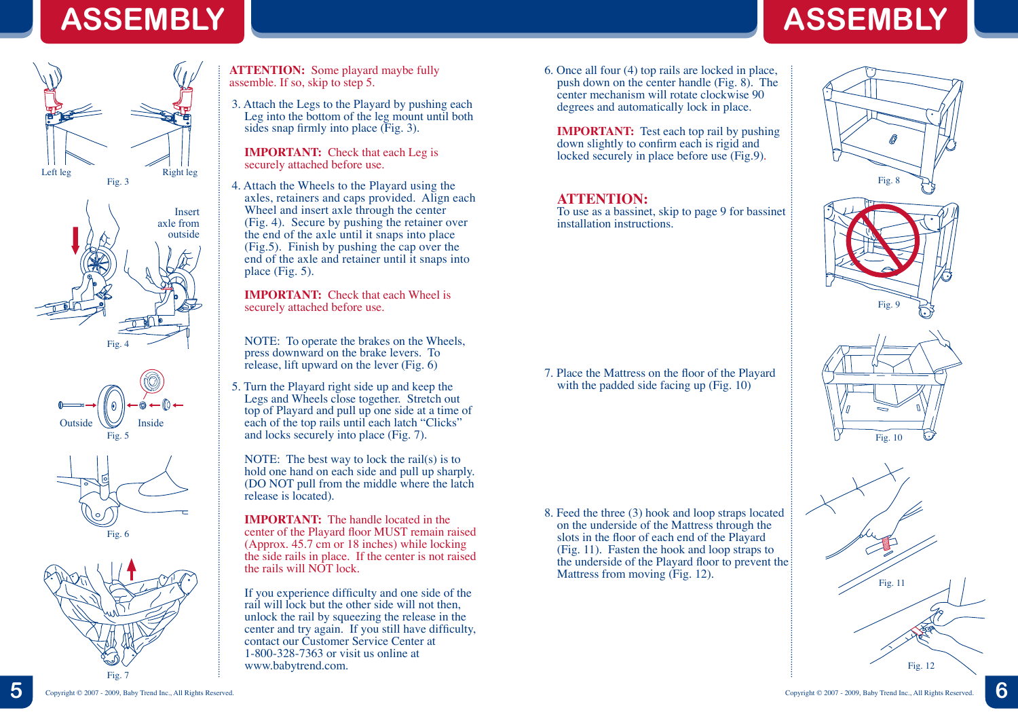# **ASSEMBLY ASSEMBLY**









**ATTENTION:** Some playard maybe fully assemble. If so, skip to step 5.

3. Attach the Legs to the Playard by pushing each Leg into the bottom of the leg mount until both sides snap firmly into place (Fig. 3).

**IMPORTANT:** Check that each Leg is securely attached before use.

4. Attach the Wheels to the Playard using the axles, retainers and caps provided. Align each Wheel and insert axle through the center (Fig. 4). Secure by pushing the retainer over the end of the axle until it snaps into place (Fig.5). Finish by pushing the cap over the end of the axle and retainer until it snaps into place (Fig. 5).

**IMPORTANT:** Check that each Wheel is securely attached before use.

NOTE: To operate the brakes on the Wheels, press downward on the brake levers. To release, lift upward on the lever (Fig. 6)

5. Turn the Playard right side up and keep the Legs and Wheels close together. Stretch out top of Playard and pull up one side at a time of each of the top rails until each latch "Clicks" and locks securely into place (Fig. 7).

NOTE: The best way to lock the rail(s) is to hold one hand on each side and pull up sharply. (DO NOT pull from the middle where the latch release is located).

**IMPORTANT:** The handle located in the center of the Playard floor MUST remain raised (Approx. 45.7 cm or 18 inches) while locking the side rails in place. If the center is not raised the rails will NOT lock.

If you experience difficulty and one side of the rail will lock but the other side will not then, unlock the rail by squeezing the release in the center and try again. If you still have difficulty, contact our Customer Service Center at 1-800-328-7363 or visit us online at www.babytrend.com.

6. Once all four (4) top rails are locked in place, push down on the center handle (Fig. 8). The center mechanism will rotate clockwise 90 degrees and automatically lock in place.

**IMPORTANT:** Test each top rail by pushing down slightly to confirm each is rigid and locked securely in place before use (Fig.9).

### **ATTENTION:**

To use as a bassinet, skip to page 9 for bassinet installation instructions.

7. Place the Mattress on the floor of the Playard with the padded side facing up (Fig. 10)

8. Feed the three (3) hook and loop straps located on the underside of the Mattress through the slots in the floor of each end of the Playard (Fig. 11). Fasten the hook and loop straps to the underside of the Playard floor to prevent the Mattress from moving (Fig. 12).

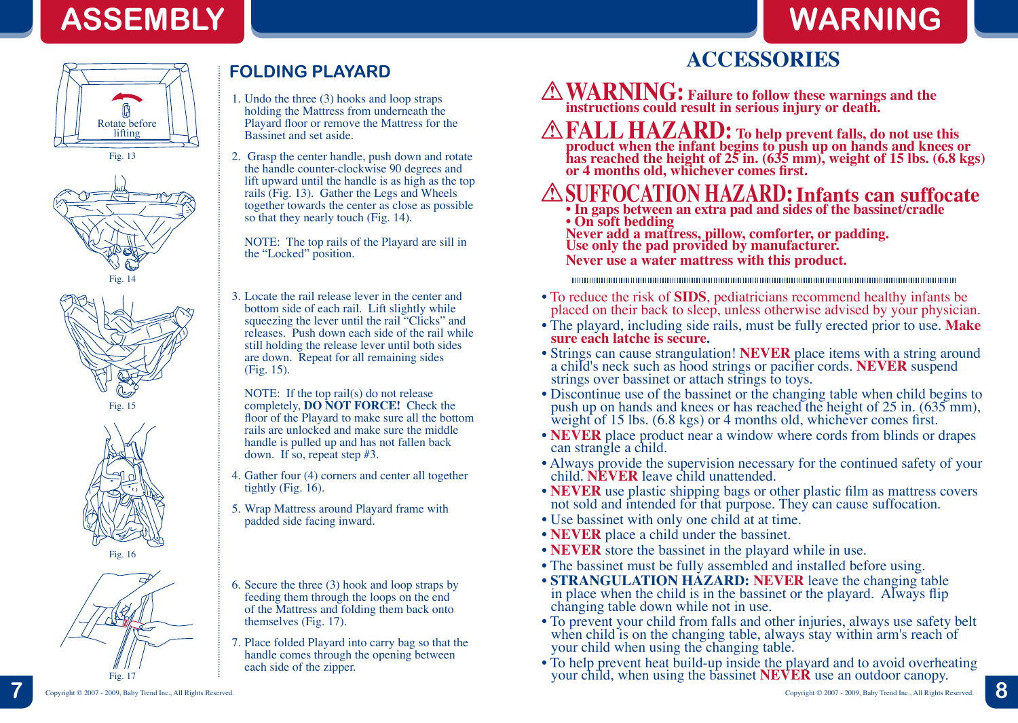



Fig. 13





Fig. 15





# **FOLDING PLAYARD**

- 1. Undo the three (3) hooks and loop straps holding the Mattress from underneath the Playard floor or remove the Mattress for the Bassinet and set aside.
- 2. Grasp the center handle, push down and rotate the handle counter-clockwise 90 degrees and lift upward until the handle is as high as the top rails (Fig. 13). Gather the Legs and Wheels together towards the center as close as possible so that they nearly touch (Fig. 14).

NOTE: The top rails of the Playard are sill in the "Locked" position.

3. Locate the rail release lever in the center and bottom side of each rail. Lift slightly while squeezing the lever until the rail "Clicks" and releases. Push down each side of the rail while still holding the release lever until both sides are down. Repeat for all remaining sides (Fig. 15).

NOTE: If the top rail(s) do not release completely, **DO NOT FORCE!** Check the floor of the Playard to make sure all the bottom rails are unlocked and make sure the middle handle is pulled up and has not fallen back down. If so, repeat step #3.

- 4. Gather four (4) corners and center all together tightly (Fig. 16).
- 5. Wrap Mattress around Playard frame with padded side facing inward.
- 6. Secure the three (3) hook and loop straps by feeding them through the loops on the end of the Mattress and folding them back onto themselves (Fig. 17).
- 7. Place folded Playard into carry bag so that the handle comes through the opening between each side of the zipper.

# **ACCESSORIES**

**WARNING: Failure to follow these warnings and the instructions could result in serious injury or death.**

**FALL HAZARD: To help prevent falls, do not use this product when the infant begins to push up on hands and knees or has reached the height of 25 in. (635 mm), weight of 15 lbs. (6.8 kgs) or 4 months old, whichever comes first.**

# **SUFFOCATION HAZARD: Infants can suffocate**

**• In gaps between an extra pad and sides of the bassinet/cradle • On soft bedding**

**Never add a mattress, pillow, comforter, or padding. Use only the pad provided by manufacturer. Never use a water mattress with this product.**

- To reduce the risk of **SIDS**, pediatricians recommend healthy infants be placed on their back to sleep, unless otherwise advised by your physician.
- The playard, including side rails, must be fully erected prior to use. **Make sure each latche is secure.**<br>• Strings can cause strangulation! **NEVER** place items with a string around
- a child's neck such as hood strings or pacifier cords. **NEVER** suspend strings over bassinet or attach strings to toys.
- Discontinue use of the bassinet or the changing table when child begins to push up on hands and knees or has reached the height of 25 in. (635 mm), weight of 15 lbs. (6.8 kgs) or 4 months old, whichever comes first.
- **NEVER** place product near a window where cords from blinds or drapes can strangle a child.
- Always provide the supervision necessary for the continued safety of your child. **NEVER** leave child unattended.
- **NEVER** use plastic shipping bags or other plastic film as mattress covers not sold and intended for that purpose. They can cause suffocation.
- Use bassinet with only one child at at time.
- **NEVER** place a child under the bassinet.
- **NEVER** store the bassinet in the playard while in use.
- 
- The bassinet must be fully assembled and installed before using.<br>• STRANGULATION HAZARD: NEVER leave the changing table in place when the child is in the bassinet or the playard. Always flip changing table down while not in use.
- To prevent your child from falls and other injuries, always use safety belt when child is on the changing table, always stay within arm's reach of your child when using the changing table.
- To help prevent heat build-up inside the playard and to avoid overheating your child, when using the bassinet **NEVER** use an outdoor canopy.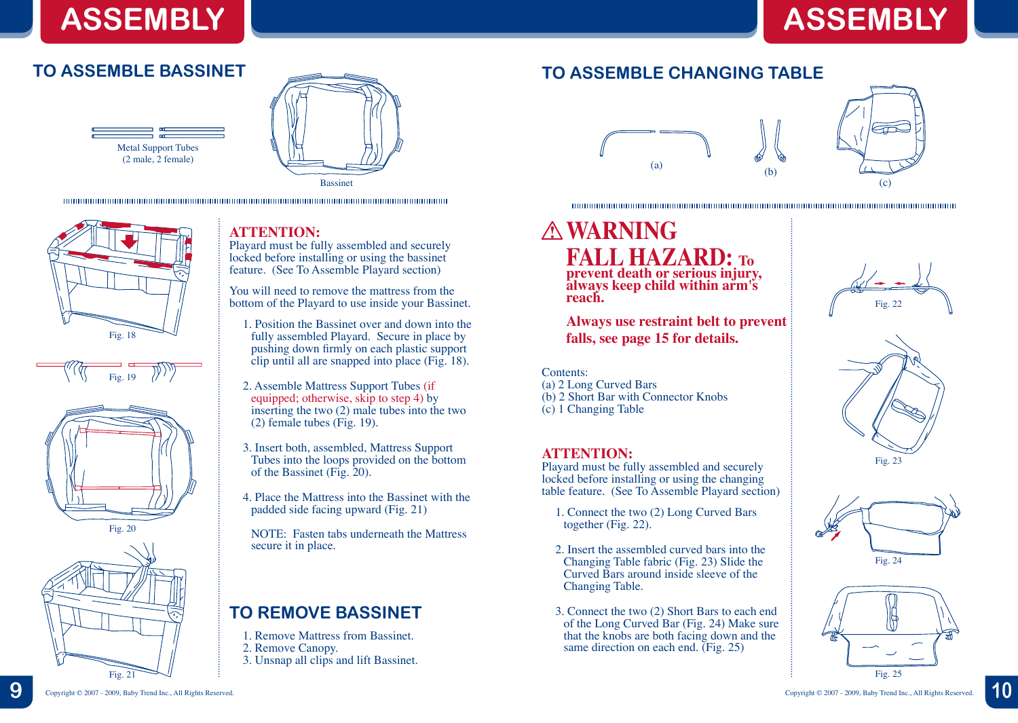# **ASSEMBLY**

# **ASSEMBLY**

## **TO ASSEMBLE BASSINET**















### **ATTENTION:**

Playard must be fully assembled and securely locked before installing or using the bassinet feature. (See To Assemble Playard section)

You will need to remove the mattress from the bottom of the Playard to use inside your Bassinet.

- 1. Position the Bassinet over and down into the fully assembled Playard. Secure in place by pushing down firmly on each plastic support clip until all are snapped into place (Fig. 18).
- 2. Assemble Mattress Support Tubes (if equipped; otherwise, skip to step 4) by inserting the two (2) male tubes into the two (2) female tubes (Fig. 19).
- 3. Insert both, assembled, Mattress Support Tubes into the loops provided on the bottom of the Bassinet (Fig. 20).
- 4. Place the Mattress into the Bassinet with the padded side facing upward (Fig. 21)
- NOTE: Fasten tabs underneath the Mattress secure it in place.

## **TO REMOVE BASSINET**

- 1. Remove Mattress from Bassinet.
- 2. Remove Canopy.
- 3. Unsnap all clips and lift Bassinet.

## **TO ASSEMBLE CHANGING TABLE**



### 

### **WARNING FALL HAZARD: To prevent death or serious injury, always keep child within arm's reach.**

**Always use restraint belt to prevent falls, see page 15 for details.**

### Contents:

- (a) 2 Long Curved Bars
- (b) 2 Short Bar with Connector Knobs
- (c) 1 Changing Table

### **ATTENTION:**

Playard must be fully assembled and securely locked before installing or using the changing table feature. (See To Assemble Playard section)

- 1. Connect the two (2) Long Curved Bars together (Fig. 22).
- 2. Insert the assembled curved bars into the Changing Table fabric (Fig. 23) Slide the Curved Bars around inside sleeve of the Changing Table.
- 3. Connect the two (2) Short Bars to each end of the Long Curved Bar (Fig. 24) Make sure that the knobs are both facing down and the same direction on each end. (Fig. 25)







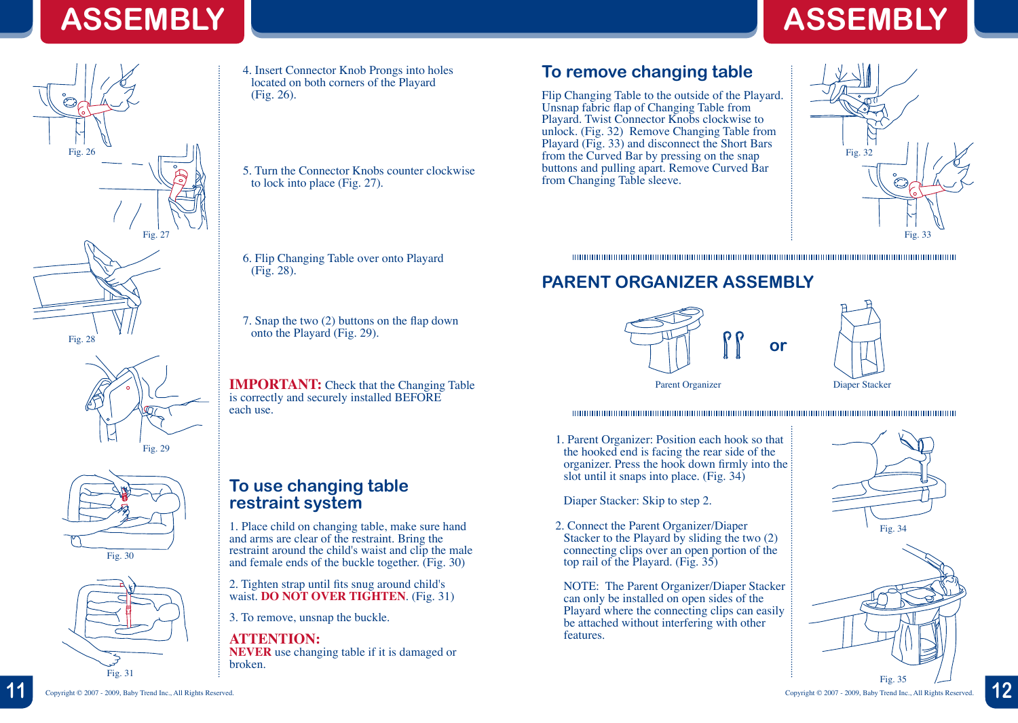# **ASSEMBLY ASSEMBLY**







4. Insert Connector Knob Prongs into holes located on both corners of the Playard (Fig. 26).

5. Turn the Connector Knobs counter clockwise to lock into place (Fig. 27).

6. Flip Changing Table over onto Playard (Fig. 28).

7. Snap the two (2) buttons on the flap down onto the Playard (Fig. 29).

**IMPORTANT:** Check that the Changing Table is correctly and securely installed BEFORE each use.

### **To use changing table restraint system**

1. Place child on changing table, make sure hand and arms are clear of the restraint. Bring the restraint around the child's waist and clip the male and female ends of the buckle together. (Fig. 30)

2. Tighten strap until fits snug around child's waist. **DO NOT OVER TIGHTEN**. (Fig. 31)

3. To remove, unsnap the buckle.

### **ATTENTION: NEVER** use changing table if it is damaged or broken.

**To remove changing table**

Flip Changing Table to the outside of the Playard. Unsnap fabric flap of Changing Table from Playard. Twist Connector Knobs clockwise to unlock. (Fig. 32) Remove Changing Table from Playard (Fig. 33) and disconnect the Short Bars from the Curved Bar by pressing on the snap buttons and pulling apart. Remove Curved Bar from Changing Table sleeve.



## **PARENT ORGANIZER ASSEMBLY**





1. Parent Organizer: Position each hook so that the hooked end is facing the rear side of the organizer. Press the hook down firmly into the slot until it snaps into place. (Fig. 34)

Diaper Stacker: Skip to step 2.

2. Connect the Parent Organizer/Diaper Stacker to the Playard by sliding the two (2) connecting clips over an open portion of the top rail of the Playard. (Fig. 35)

NOTE: The Parent Organizer/Diaper Stacker can only be installed on open sides of the Playard where the connecting clips can easily be attached without interfering with other features.





**11** Copyright © 2007 - 2009, Baby Trend Inc., All Rights Reserved. Copyright © 2007 - 2009, Baby Trend Inc., All Rights Reserved. **12**